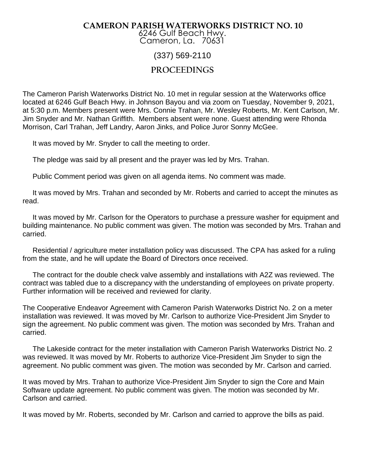## **CAMERON PARISH WATERWORKS DISTRICT NO. 10**

6246 Gulf Beach Hwy. Cameron, La. 70631

## (337) 569-2110

## **PROCEEDINGS**

The Cameron Parish Waterworks District No. 10 met in regular session at the Waterworks office located at 6246 Gulf Beach Hwy. in Johnson Bayou and via zoom on Tuesday, November 9, 2021, at 5:30 p.m. Members present were Mrs. Connie Trahan, Mr. Wesley Roberts, Mr. Kent Carlson, Mr. Jim Snyder and Mr. Nathan Griffith. Members absent were none. Guest attending were Rhonda Morrison, Carl Trahan, Jeff Landry, Aaron Jinks, and Police Juror Sonny McGee.

It was moved by Mr. Snyder to call the meeting to order.

The pledge was said by all present and the prayer was led by Mrs. Trahan.

Public Comment period was given on all agenda items. No comment was made.

 It was moved by Mrs. Trahan and seconded by Mr. Roberts and carried to accept the minutes as read.

 It was moved by Mr. Carlson for the Operators to purchase a pressure washer for equipment and building maintenance. No public comment was given. The motion was seconded by Mrs. Trahan and carried.

 Residential / agriculture meter installation policy was discussed. The CPA has asked for a ruling from the state, and he will update the Board of Directors once received.

 The contract for the double check valve assembly and installations with A2Z was reviewed. The contract was tabled due to a discrepancy with the understanding of employees on private property. Further information will be received and reviewed for clarity.

The Cooperative Endeavor Agreement with Cameron Parish Waterworks District No. 2 on a meter installation was reviewed. It was moved by Mr. Carlson to authorize Vice-President Jim Snyder to sign the agreement. No public comment was given. The motion was seconded by Mrs. Trahan and carried.

 The Lakeside contract for the meter installation with Cameron Parish Waterworks District No. 2 was reviewed. It was moved by Mr. Roberts to authorize Vice-President Jim Snyder to sign the agreement. No public comment was given. The motion was seconded by Mr. Carlson and carried.

It was moved by Mrs. Trahan to authorize Vice-President Jim Snyder to sign the Core and Main Software update agreement. No public comment was given. The motion was seconded by Mr. Carlson and carried.

It was moved by Mr. Roberts, seconded by Mr. Carlson and carried to approve the bills as paid.